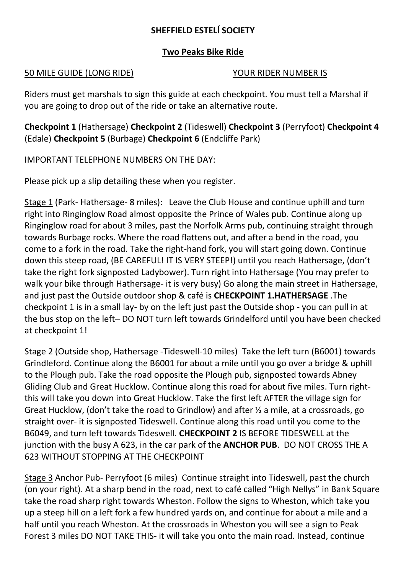## **SHEFFIELD ESTELÍ SOCIETY**

## **Two Peaks Bike Ride**

## 50 MILE GUIDE (LONG RIDE) YOUR RIDER NUMBER IS

Riders must get marshals to sign this guide at each checkpoint. You must tell a Marshal if you are going to drop out of the ride or take an alternative route.

**Checkpoint 1** (Hathersage) **Checkpoint 2** (Tideswell) **Checkpoint 3** (Perryfoot) **Checkpoint 4** (Edale) **Checkpoint 5** (Burbage) **Checkpoint 6** (Endcliffe Park)

IMPORTANT TELEPHONE NUMBERS ON THE DAY:

Please pick up a slip detailing these when you register.

Stage 1 (Park- Hathersage- 8 miles): Leave the Club House and continue uphill and turn right into Ringinglow Road almost opposite the Prince of Wales pub. Continue along up Ringinglow road for about 3 miles, past the Norfolk Arms pub, continuing straight through towards Burbage rocks. Where the road flattens out, and after a bend in the road, you come to a fork in the road. Take the right-hand fork, you will start going down. Continue down this steep road, (BE CAREFUL! IT IS VERY STEEP!) until you reach Hathersage, (don't take the right fork signposted Ladybower). Turn right into Hathersage (You may prefer to walk your bike through Hathersage- it is very busy) Go along the main street in Hathersage, and just past the Outside outdoor shop & café is **CHECKPOINT 1.HATHERSAGE** .The checkpoint 1 is in a small lay- by on the left just past the Outside shop - you can pull in at the bus stop on the left– DO NOT turn left towards Grindelford until you have been checked at checkpoint 1!

Stage 2 (Outside shop, Hathersage -Tideswell-10 miles) Take the left turn (B6001) towards Grindleford. Continue along the B6001 for about a mile until you go over a bridge & uphill to the Plough pub. Take the road opposite the Plough pub, signposted towards Abney Gliding Club and Great Hucklow. Continue along this road for about five miles. Turn rightthis will take you down into Great Hucklow. Take the first left AFTER the village sign for Great Hucklow, (don't take the road to Grindlow) and after ½ a mile, at a crossroads, go straight over- it is signposted Tideswell. Continue along this road until you come to the B6049, and turn left towards Tideswell. **CHECKPOINT 2** IS BEFORE TIDESWELL at the junction with the busy A 623, in the car park of the **ANCHOR PUB**. DO NOT CROSS THE A 623 WITHOUT STOPPING AT THE CHECKPOINT

Stage 3 Anchor Pub- Perryfoot (6 miles) Continue straight into Tideswell, past the church (on your right). At a sharp bend in the road, next to café called "High Nellys" in Bank Square take the road sharp right towards Wheston. Follow the signs to Wheston, which take you up a steep hill on a left fork a few hundred yards on, and continue for about a mile and a half until you reach Wheston. At the crossroads in Wheston you will see a sign to Peak Forest 3 miles DO NOT TAKE THIS- it will take you onto the main road. Instead, continue